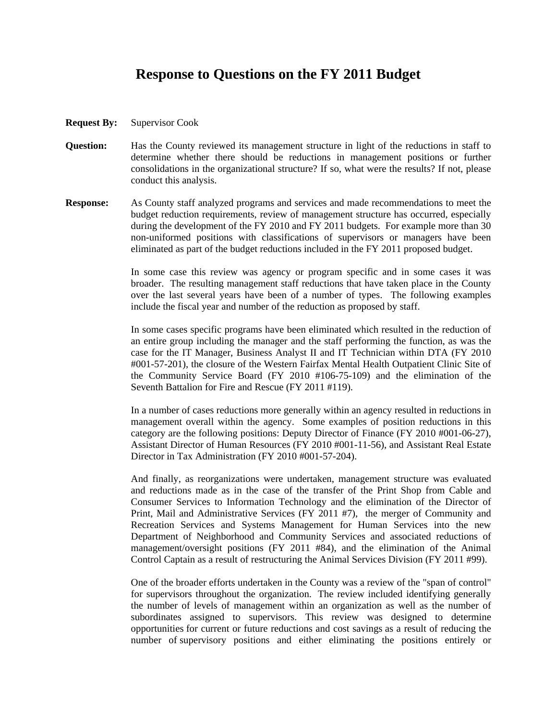## **Response to Questions on the FY 2011 Budget**

- **Request By:** Supervisor Cook
- **Question:** Has the County reviewed its management structure in light of the reductions in staff to determine whether there should be reductions in management positions or further consolidations in the organizational structure? If so, what were the results? If not, please conduct this analysis.
- **Response:** As County staff analyzed programs and services and made recommendations to meet the budget reduction requirements, review of management structure has occurred, especially during the development of the FY 2010 and FY 2011 budgets. For example more than 30 non-uniformed positions with classifications of supervisors or managers have been eliminated as part of the budget reductions included in the FY 2011 proposed budget.

In some case this review was agency or program specific and in some cases it was broader. The resulting management staff reductions that have taken place in the County over the last several years have been of a number of types. The following examples include the fiscal year and number of the reduction as proposed by staff.

In some cases specific programs have been eliminated which resulted in the reduction of an entire group including the manager and the staff performing the function, as was the case for the IT Manager, Business Analyst II and IT Technician within DTA (FY 2010 #001-57-201), the closure of the Western Fairfax Mental Health Outpatient Clinic Site of the Community Service Board (FY 2010 #106-75-109) and the elimination of the Seventh Battalion for Fire and Rescue (FY 2011 #119).

In a number of cases reductions more generally within an agency resulted in reductions in management overall within the agency. Some examples of position reductions in this category are the following positions: Deputy Director of Finance (FY 2010 #001-06-27), Assistant Director of Human Resources (FY 2010 #001-11-56), and Assistant Real Estate Director in Tax Administration (FY 2010 #001-57-204).

And finally, as reorganizations were undertaken, management structure was evaluated and reductions made as in the case of the transfer of the Print Shop from Cable and Consumer Services to Information Technology and the elimination of the Director of Print, Mail and Administrative Services (FY 2011 #7), the merger of Community and Recreation Services and Systems Management for Human Services into the new Department of Neighborhood and Community Services and associated reductions of management/oversight positions (FY 2011 #84), and the elimination of the Animal Control Captain as a result of restructuring the Animal Services Division (FY 2011 #99).

One of the broader efforts undertaken in the County was a review of the "span of control" for supervisors throughout the organization. The review included identifying generally the number of levels of management within an organization as well as the number of subordinates assigned to supervisors. This review was designed to determine opportunities for current or future reductions and cost savings as a result of reducing the number of supervisory positions and either eliminating the positions entirely or